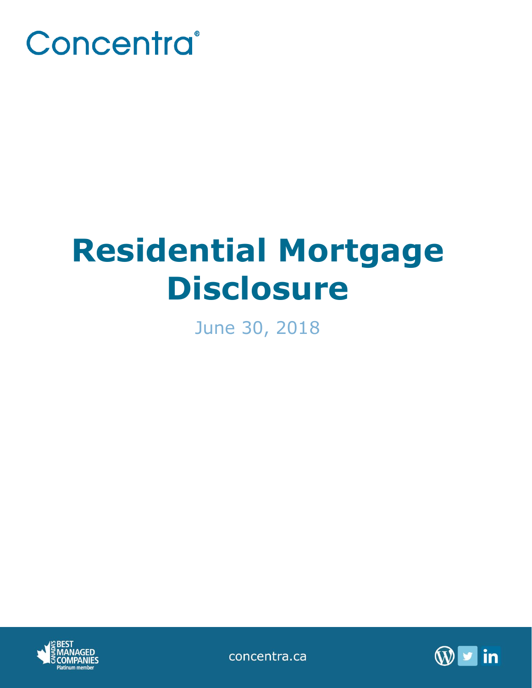

# **Residential Mortgage Disclosure**

June 30, 2018



concentra.ca

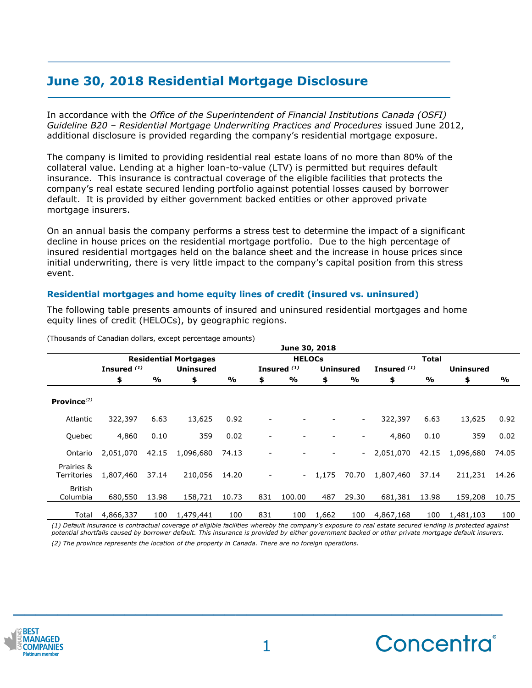# **June 30, 2018 Residential Mortgage Disclosure**

In accordance with the *Office of the Superintendent of Financial Institutions Canada (OSFI) Guideline B20 – Residential Mortgage Underwriting Practices and Procedures* issued June 2012, additional disclosure is provided regarding the company's residential mortgage exposure.

The company is limited to providing residential real estate loans of no more than 80% of the collateral value. Lending at a higher loan-to-value (LTV) is permitted but requires default insurance. This insurance is contractual coverage of the eligible facilities that protects the company's real estate secured lending portfolio against potential losses caused by borrower default. It is provided by either government backed entities or other approved private mortgage insurers.

On an annual basis the company performs a stress test to determine the impact of a significant decline in house prices on the residential mortgage portfolio. Due to the high percentage of insured residential mortgages held on the balance sheet and the increase in house prices since initial underwriting, there is very little impact to the company's capital position from this stress event.

## **Residential mortgages and home equity lines of credit (insured vs. uninsured)**

The following table presents amounts of insured and uninsured residential mortgages and home equity lines of credit (HELOCs), by geographic regions.

|                           | June 30, 2018                |       |                  |               |               |                        |                  |                          |               |       |                  |       |
|---------------------------|------------------------------|-------|------------------|---------------|---------------|------------------------|------------------|--------------------------|---------------|-------|------------------|-------|
|                           | <b>Residential Mortgages</b> |       |                  |               | <b>HELOCs</b> |                        |                  |                          | Total         |       |                  |       |
|                           | Insured <sup>(1)</sup>       |       | <b>Uninsured</b> |               |               | Insured <sup>(1)</sup> | <b>Uninsured</b> |                          | Insured $(1)$ |       | <b>Uninsured</b> |       |
|                           | \$                           | %     | \$               | $\frac{9}{6}$ | \$            | %                      | \$               | %                        | \$            | %     | \$               | %     |
| Province $^{(2)}$         |                              |       |                  |               |               |                        |                  |                          |               |       |                  |       |
| Atlantic                  | 322,397                      | 6.63  | 13,625           | 0.92          |               |                        |                  | $\overline{\phantom{a}}$ | 322,397       | 6.63  | 13,625           | 0.92  |
| Quebec                    | 4,860                        | 0.10  | 359              | 0.02          |               |                        |                  | -                        | 4,860         | 0.10  | 359              | 0.02  |
| Ontario                   | 2,051,070                    | 42.15 | 1,096,680        | 74.13         |               |                        |                  |                          | 2,051,070     | 42.15 | 1,096,680        | 74.05 |
| Prairies &<br>Territories | 1,807,460                    | 37.14 | 210,056          | 14.20         |               | $\sim 100$             | 1,175            | 70.70                    | 1,807,460     | 37.14 | 211,231          | 14.26 |
| British<br>Columbia       | 680,550                      | 13.98 | 158,721          | 10.73         | 831           | 100.00                 | 487              | 29.30                    | 681,381       | 13.98 | 159,208          | 10.75 |
| Total                     | 4,866,337                    | 100   | 1,479,441        | 100           | 831           | 100                    | 1,662            | 100                      | 4,867,168     | 100   | 1,481,103        | 100   |

(Thousands of Canadian dollars, except percentage amounts)

*(1) Default insurance is contractual coverage of eligible facilities whereby the company's exposure to real estate secured lending is protected against potential shortfalls caused by borrower default. This insurance is provided by either government backed or other private mortgage default insurers. (2) The province represents the location of the property in Canada. There are no foreign operations.*



**\_\_\_\_\_\_\_\_\_\_\_\_\_\_\_\_\_\_\_\_\_\_\_\_\_\_\_\_\_\_\_\_\_\_\_\_\_\_\_\_\_\_\_\_**